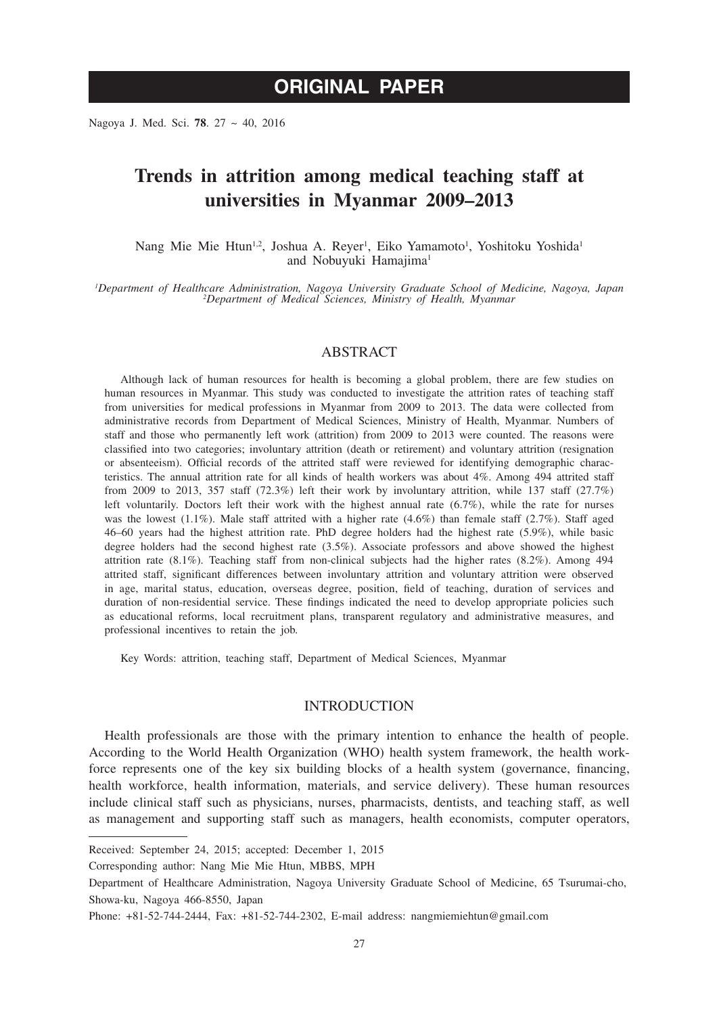# **ORIGINAL PAPER**

Nagoya J. Med. Sci. **78**. 27 ~ 40, 2016

# **Trends in attrition among medical teaching staff at universities in Myanmar 2009–2013**

Nang Mie Mie Htun<sup>1,2</sup>, Joshua A. Reyer<sup>1</sup>, Eiko Yamamoto<sup>1</sup>, Yoshitoku Yoshida<sup>1</sup> and Nobuyuki Hamajima<sup>1</sup>

*1 Department of Healthcare Administration, Nagoya University Graduate School of Medicine, Nagoya, Japan <sup>2</sup> Department of Medical Sciences, Ministry of Health, Myanmar*

#### ABSTRACT

Although lack of human resources for health is becoming a global problem, there are few studies on human resources in Myanmar. This study was conducted to investigate the attrition rates of teaching staff from universities for medical professions in Myanmar from 2009 to 2013. The data were collected from administrative records from Department of Medical Sciences, Ministry of Health, Myanmar. Numbers of staff and those who permanently left work (attrition) from 2009 to 2013 were counted. The reasons were classified into two categories; involuntary attrition (death or retirement) and voluntary attrition (resignation or absenteeism). Official records of the attrited staff were reviewed for identifying demographic characteristics. The annual attrition rate for all kinds of health workers was about 4%. Among 494 attrited staff from 2009 to 2013, 357 staff (72.3%) left their work by involuntary attrition, while 137 staff (27.7%) left voluntarily. Doctors left their work with the highest annual rate (6.7%), while the rate for nurses was the lowest  $(1.1\%)$ . Male staff attrited with a higher rate  $(4.6\%)$  than female staff  $(2.7\%)$ . Staff aged 46–60 years had the highest attrition rate. PhD degree holders had the highest rate (5.9%), while basic degree holders had the second highest rate (3.5%). Associate professors and above showed the highest attrition rate (8.1%). Teaching staff from non-clinical subjects had the higher rates (8.2%). Among 494 attrited staff, significant differences between involuntary attrition and voluntary attrition were observed in age, marital status, education, overseas degree, position, field of teaching, duration of services and duration of non-residential service. These findings indicated the need to develop appropriate policies such as educational reforms, local recruitment plans, transparent regulatory and administrative measures, and professional incentives to retain the job.

Key Words: attrition, teaching staff, Department of Medical Sciences, Myanmar

#### INTRODUCTION

Health professionals are those with the primary intention to enhance the health of people. According to the World Health Organization (WHO) health system framework, the health workforce represents one of the key six building blocks of a health system (governance, financing, health workforce, health information, materials, and service delivery). These human resources include clinical staff such as physicians, nurses, pharmacists, dentists, and teaching staff, as well as management and supporting staff such as managers, health economists, computer operators,

Received: September 24, 2015; accepted: December 1, 2015

Corresponding author: Nang Mie Mie Htun, MBBS, MPH

Department of Healthcare Administration, Nagoya University Graduate School of Medicine, 65 Tsurumai-cho, Showa-ku, Nagoya 466-8550, Japan

Phone: +81-52-744-2444, Fax: +81-52-744-2302, E-mail address: nangmiemiehtun@gmail.com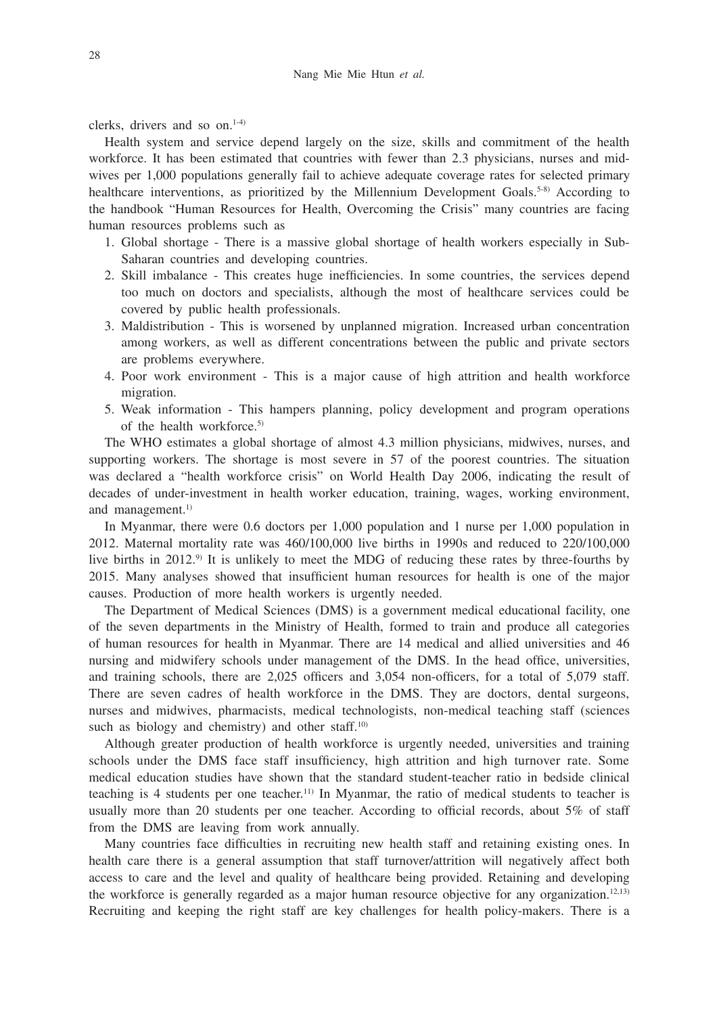clerks, drivers and so  $\Omega$ <sub>1-4)</sub>

Health system and service depend largely on the size, skills and commitment of the health workforce. It has been estimated that countries with fewer than 2.3 physicians, nurses and midwives per 1,000 populations generally fail to achieve adequate coverage rates for selected primary healthcare interventions, as prioritized by the Millennium Development Goals.<sup>5-8)</sup> According to the handbook "Human Resources for Health, Overcoming the Crisis" many countries are facing human resources problems such as

- 1. Global shortage There is a massive global shortage of health workers especially in Sub-Saharan countries and developing countries.
- 2. Skill imbalance This creates huge inefficiencies. In some countries, the services depend too much on doctors and specialists, although the most of healthcare services could be covered by public health professionals.
- 3. Maldistribution This is worsened by unplanned migration. Increased urban concentration among workers, as well as different concentrations between the public and private sectors are problems everywhere.
- 4. Poor work environment This is a major cause of high attrition and health workforce migration.
- 5. Weak information This hampers planning, policy development and program operations of the health workforce.5)

The WHO estimates a global shortage of almost 4.3 million physicians, midwives, nurses, and supporting workers. The shortage is most severe in 57 of the poorest countries. The situation was declared a "health workforce crisis" on World Health Day 2006, indicating the result of decades of under-investment in health worker education, training, wages, working environment, and management.<sup>1)</sup>

In Myanmar, there were 0.6 doctors per 1,000 population and 1 nurse per 1,000 population in 2012. Maternal mortality rate was 460/100,000 live births in 1990s and reduced to 220/100,000 live births in 2012.9) It is unlikely to meet the MDG of reducing these rates by three-fourths by 2015. Many analyses showed that insufficient human resources for health is one of the major causes. Production of more health workers is urgently needed.

The Department of Medical Sciences (DMS) is a government medical educational facility, one of the seven departments in the Ministry of Health, formed to train and produce all categories of human resources for health in Myanmar. There are 14 medical and allied universities and 46 nursing and midwifery schools under management of the DMS. In the head office, universities, and training schools, there are 2,025 officers and 3,054 non-officers, for a total of 5,079 staff. There are seven cadres of health workforce in the DMS. They are doctors, dental surgeons, nurses and midwives, pharmacists, medical technologists, non-medical teaching staff (sciences such as biology and chemistry) and other staff. $10$ 

Although greater production of health workforce is urgently needed, universities and training schools under the DMS face staff insufficiency, high attrition and high turnover rate. Some medical education studies have shown that the standard student-teacher ratio in bedside clinical teaching is 4 students per one teacher.<sup>11)</sup> In Myanmar, the ratio of medical students to teacher is usually more than 20 students per one teacher. According to official records, about 5% of staff from the DMS are leaving from work annually.

Many countries face difficulties in recruiting new health staff and retaining existing ones. In health care there is a general assumption that staff turnover/attrition will negatively affect both access to care and the level and quality of healthcare being provided. Retaining and developing the workforce is generally regarded as a major human resource objective for any organization.<sup>12,13)</sup> Recruiting and keeping the right staff are key challenges for health policy-makers. There is a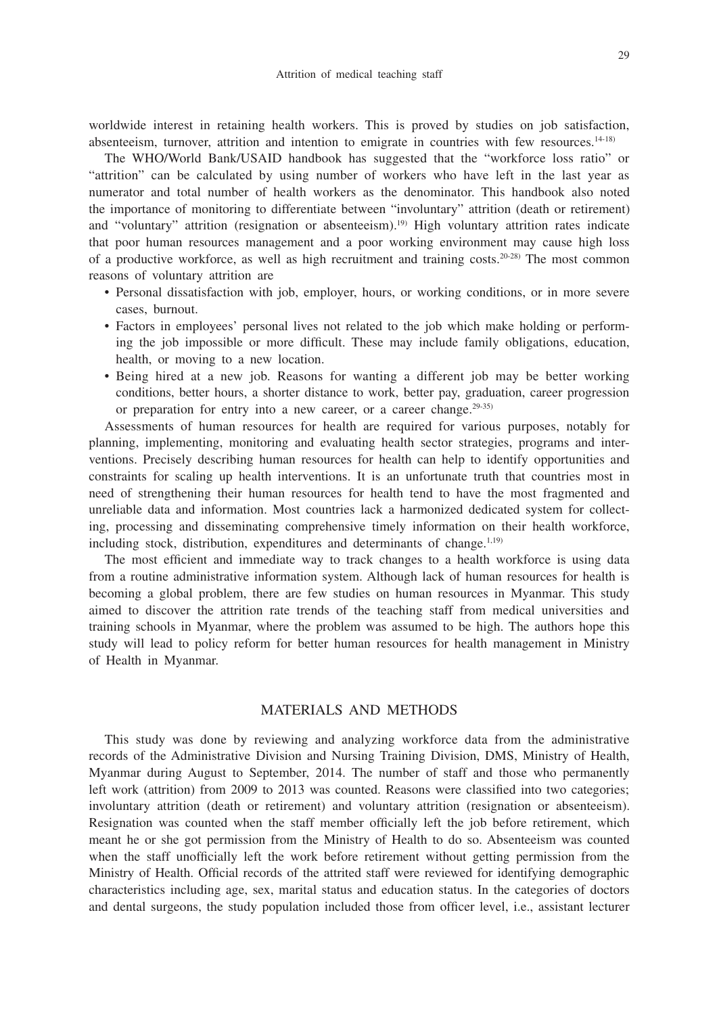worldwide interest in retaining health workers. This is proved by studies on job satisfaction, absenteeism, turnover, attrition and intention to emigrate in countries with few resources.<sup>14-18)</sup>

The WHO/World Bank/USAID handbook has suggested that the "workforce loss ratio" or "attrition" can be calculated by using number of workers who have left in the last year as numerator and total number of health workers as the denominator. This handbook also noted the importance of monitoring to differentiate between "involuntary" attrition (death or retirement) and "voluntary" attrition (resignation or absenteeism).19) High voluntary attrition rates indicate that poor human resources management and a poor working environment may cause high loss of a productive workforce, as well as high recruitment and training costs.<sup>20-28)</sup> The most common reasons of voluntary attrition are

- Personal dissatisfaction with job, employer, hours, or working conditions, or in more severe cases, burnout.
- Factors in employees' personal lives not related to the job which make holding or performing the job impossible or more difficult. These may include family obligations, education, health, or moving to a new location.
- Being hired at a new job. Reasons for wanting a different job may be better working conditions, better hours, a shorter distance to work, better pay, graduation, career progression or preparation for entry into a new career, or a career change.<sup>29-35)</sup>

Assessments of human resources for health are required for various purposes, notably for planning, implementing, monitoring and evaluating health sector strategies, programs and interventions. Precisely describing human resources for health can help to identify opportunities and constraints for scaling up health interventions. It is an unfortunate truth that countries most in need of strengthening their human resources for health tend to have the most fragmented and unreliable data and information. Most countries lack a harmonized dedicated system for collecting, processing and disseminating comprehensive timely information on their health workforce, including stock, distribution, expenditures and determinants of change. $1,19$ )

The most efficient and immediate way to track changes to a health workforce is using data from a routine administrative information system. Although lack of human resources for health is becoming a global problem, there are few studies on human resources in Myanmar. This study aimed to discover the attrition rate trends of the teaching staff from medical universities and training schools in Myanmar, where the problem was assumed to be high. The authors hope this study will lead to policy reform for better human resources for health management in Ministry of Health in Myanmar.

# MATERIALS AND METHODS

This study was done by reviewing and analyzing workforce data from the administrative records of the Administrative Division and Nursing Training Division, DMS, Ministry of Health, Myanmar during August to September, 2014. The number of staff and those who permanently left work (attrition) from 2009 to 2013 was counted. Reasons were classified into two categories; involuntary attrition (death or retirement) and voluntary attrition (resignation or absenteeism). Resignation was counted when the staff member officially left the job before retirement, which meant he or she got permission from the Ministry of Health to do so. Absenteeism was counted when the staff unofficially left the work before retirement without getting permission from the Ministry of Health. Official records of the attrited staff were reviewed for identifying demographic characteristics including age, sex, marital status and education status. In the categories of doctors and dental surgeons, the study population included those from officer level, i.e., assistant lecturer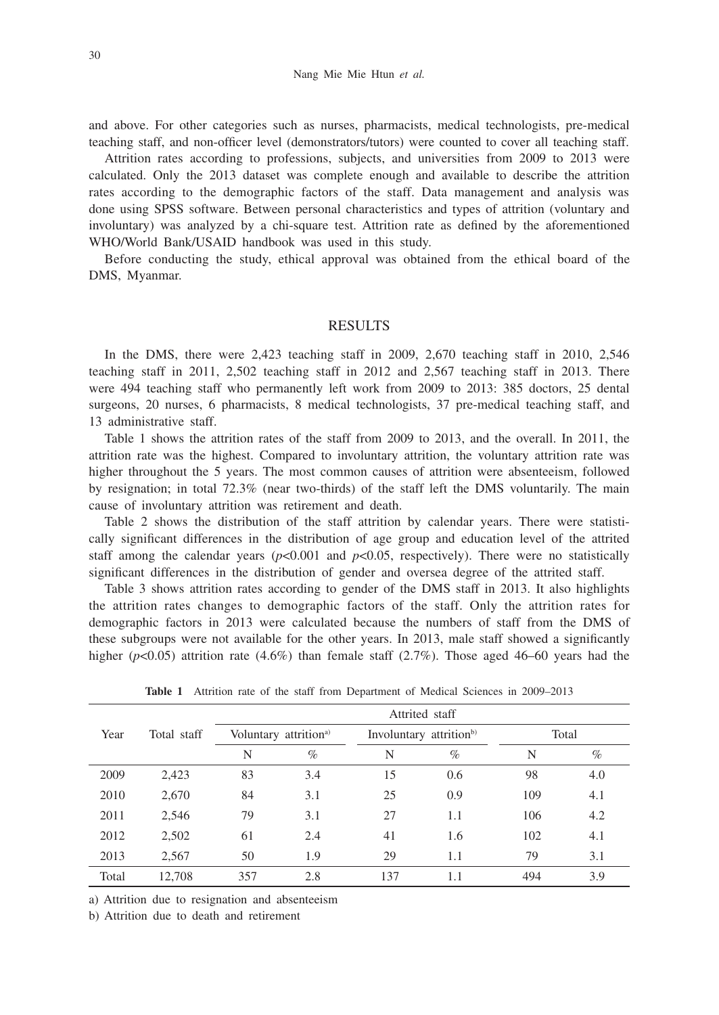and above. For other categories such as nurses, pharmacists, medical technologists, pre-medical teaching staff, and non-officer level (demonstrators/tutors) were counted to cover all teaching staff.

Attrition rates according to professions, subjects, and universities from 2009 to 2013 were calculated. Only the 2013 dataset was complete enough and available to describe the attrition rates according to the demographic factors of the staff. Data management and analysis was done using SPSS software. Between personal characteristics and types of attrition (voluntary and involuntary) was analyzed by a chi-square test. Attrition rate as defined by the aforementioned WHO/World Bank/USAID handbook was used in this study.

Before conducting the study, ethical approval was obtained from the ethical board of the DMS, Myanmar.

#### **RESULTS**

In the DMS, there were 2,423 teaching staff in 2009, 2,670 teaching staff in 2010, 2,546 teaching staff in 2011, 2,502 teaching staff in 2012 and 2,567 teaching staff in 2013. There were 494 teaching staff who permanently left work from 2009 to 2013: 385 doctors, 25 dental surgeons, 20 nurses, 6 pharmacists, 8 medical technologists, 37 pre-medical teaching staff, and 13 administrative staff.

Table 1 shows the attrition rates of the staff from 2009 to 2013, and the overall. In 2011, the attrition rate was the highest. Compared to involuntary attrition, the voluntary attrition rate was higher throughout the 5 years. The most common causes of attrition were absenteeism, followed by resignation; in total 72.3% (near two-thirds) of the staff left the DMS voluntarily. The main cause of involuntary attrition was retirement and death.

Table 2 shows the distribution of the staff attrition by calendar years. There were statistically significant differences in the distribution of age group and education level of the attrited staff among the calendar years  $(p<0.001$  and  $p<0.05$ , respectively). There were no statistically significant differences in the distribution of gender and oversea degree of the attrited staff.

Table 3 shows attrition rates according to gender of the DMS staff in 2013. It also highlights the attrition rates changes to demographic factors of the staff. Only the attrition rates for demographic factors in 2013 were calculated because the numbers of staff from the DMS of these subgroups were not available for the other years. In 2013, male staff showed a significantly higher ( $p$ <0.05) attrition rate (4.6%) than female staff (2.7%). Those aged 46–60 years had the

|       |             |     |                                   |     | Attrited staff                      |       |      |  |
|-------|-------------|-----|-----------------------------------|-----|-------------------------------------|-------|------|--|
| Year  | Total staff |     | Voluntary attrition <sup>a)</sup> |     | Involuntary attrition <sup>b)</sup> | Total |      |  |
|       |             | N   | $\%$                              | N   | $\%$                                | N     | $\%$ |  |
| 2009  | 2,423       | 83  | 3.4                               | 15  | 0.6                                 | 98    | 4.0  |  |
| 2010  | 2,670       | 84  | 3.1                               | 25  | 0.9                                 | 109   | 4.1  |  |
| 2011  | 2,546       | 79  | 3.1                               | 27  | 1.1                                 | 106   | 4.2  |  |
| 2012  | 2,502       | 61  | 2.4                               | 41  | 1.6                                 | 102   | 4.1  |  |
| 2013  | 2,567       | 50  | 1.9                               | 29  | 1.1                                 | 79    | 3.1  |  |
| Total | 12,708      | 357 | 2.8                               | 137 | 1.1                                 | 494   | 3.9  |  |

**Table 1** Attrition rate of the staff from Department of Medical Sciences in 2009–2013

a) Attrition due to resignation and absenteeism

b) Attrition due to death and retirement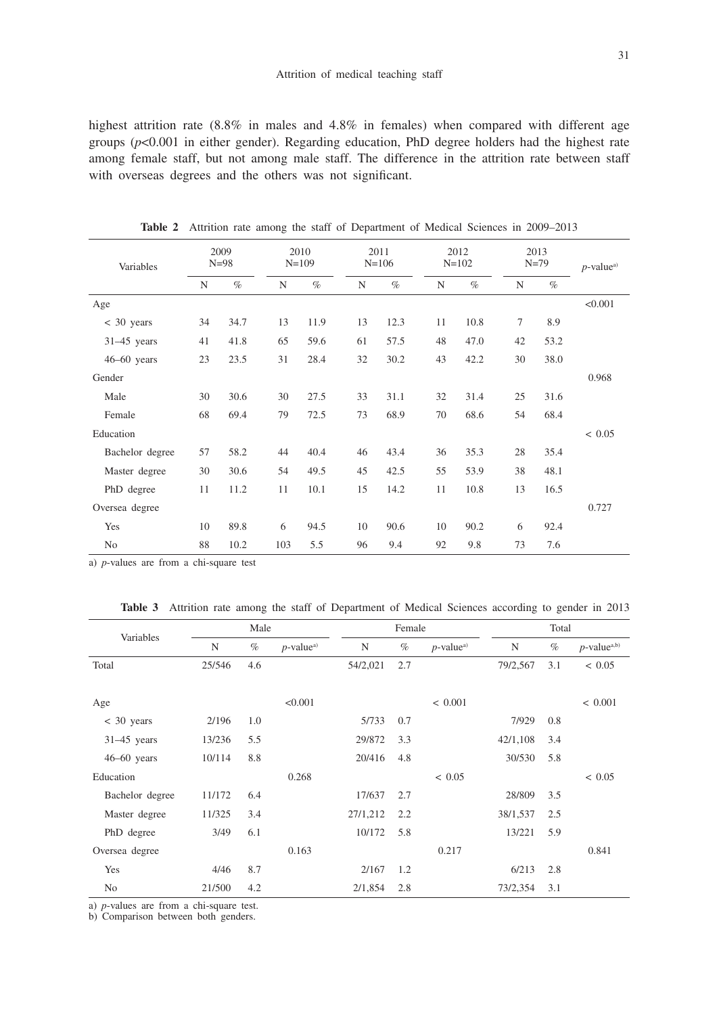highest attrition rate (8.8% in males and 4.8% in females) when compared with different age groups (*p*<0.001 in either gender). Regarding education, PhD degree holders had the highest rate among female staff, but not among male staff. The difference in the attrition rate between staff with overseas degrees and the others was not significant.

| Variables       | 2009<br>$N = 98$ |      | 2010<br>$N=109$ |      |    | 2011<br>$N = 106$ |    | 2012<br>$N = 102$ |             | 2013<br>$N = 79$ | $p$ -value <sup>a)</sup> |
|-----------------|------------------|------|-----------------|------|----|-------------------|----|-------------------|-------------|------------------|--------------------------|
|                 | N                | $\%$ | N               | $\%$ | N  | $\%$              | N  | $\%$              | $\mathbf N$ | $\%$             |                          |
| Age             |                  |      |                 |      |    |                   |    |                   |             |                  | < 0.001                  |
| $<$ 30 years    | 34               | 34.7 | 13              | 11.9 | 13 | 12.3              | 11 | 10.8              | $\tau$      | 8.9              |                          |
| $31-45$ years   | 41               | 41.8 | 65              | 59.6 | 61 | 57.5              | 48 | 47.0              | 42          | 53.2             |                          |
| $46-60$ years   | 23               | 23.5 | 31              | 28.4 | 32 | 30.2              | 43 | 42.2              | 30          | 38.0             |                          |
| Gender          |                  |      |                 |      |    |                   |    |                   |             |                  | 0.968                    |
| Male            | 30               | 30.6 | 30              | 27.5 | 33 | 31.1              | 32 | 31.4              | 25          | 31.6             |                          |
| Female          | 68               | 69.4 | 79              | 72.5 | 73 | 68.9              | 70 | 68.6              | 54          | 68.4             |                          |
| Education       |                  |      |                 |      |    |                   |    |                   |             |                  | < 0.05                   |
| Bachelor degree | 57               | 58.2 | 44              | 40.4 | 46 | 43.4              | 36 | 35.3              | 28          | 35.4             |                          |
| Master degree   | 30               | 30.6 | 54              | 49.5 | 45 | 42.5              | 55 | 53.9              | 38          | 48.1             |                          |
| PhD degree      | 11               | 11.2 | 11              | 10.1 | 15 | 14.2              | 11 | 10.8              | 13          | 16.5             |                          |
| Oversea degree  |                  |      |                 |      |    |                   |    |                   |             |                  | 0.727                    |
| Yes             | 10               | 89.8 | 6               | 94.5 | 10 | 90.6              | 10 | 90.2              | 6           | 92.4             |                          |
| No              | 88               | 10.2 | 103             | 5.5  | 96 | 9.4               | 92 | 9.8               | 73          | 7.6              |                          |

Table 2 Attrition rate among the staff of Department of Medical Sciences in 2009–2013

a) *p*-values are from a chi-square test

|  | Table 3 Attrition rate among the staff of Department of Medical Sciences according to gender in 2013 |  |  |  |  |  |  |  |  |  |  |  |  |  |
|--|------------------------------------------------------------------------------------------------------|--|--|--|--|--|--|--|--|--|--|--|--|--|
|--|------------------------------------------------------------------------------------------------------|--|--|--|--|--|--|--|--|--|--|--|--|--|

| Variables       |        | Male |                          |          | Female |                          |          | Total |                            |
|-----------------|--------|------|--------------------------|----------|--------|--------------------------|----------|-------|----------------------------|
|                 | N      | $\%$ | $p$ -value <sup>a)</sup> | N        | $\%$   | $p$ -value <sup>a)</sup> | N        | $\%$  | $p$ -value <sup>a,b)</sup> |
| Total           | 25/546 | 4.6  |                          | 54/2,021 | 2.7    |                          | 79/2,567 | 3.1   | < 0.05                     |
|                 |        |      |                          |          |        |                          |          |       |                            |
| Age             |        |      | < 0.001                  |          |        | ${}< 0.001$              |          |       | ${}< 0.001$                |
| $< 30$ years    | 2/196  | 1.0  |                          | 5/733    | 0.7    |                          | 7/929    | 0.8   |                            |
| $31-45$ years   | 13/236 | 5.5  |                          | 29/872   | 3.3    |                          | 42/1,108 | 3.4   |                            |
| $46-60$ years   | 10/114 | 8.8  |                          | 20/416   | 4.8    |                          | 30/530   | 5.8   |                            |
| Education       |        |      | 0.268                    |          |        | ${}< 0.05$               |          |       | ~< 0.05                    |
| Bachelor degree | 11/172 | 6.4  |                          | 17/637   | 2.7    |                          | 28/809   | 3.5   |                            |
| Master degree   | 11/325 | 3.4  |                          | 27/1,212 | 2.2    |                          | 38/1,537 | 2.5   |                            |
| PhD degree      | 3/49   | 6.1  |                          | 10/172   | 5.8    |                          | 13/221   | 5.9   |                            |
| Oversea degree  |        |      | 0.163                    |          |        | 0.217                    |          |       | 0.841                      |
| Yes             | 4/46   | 8.7  |                          | 2/167    | 1.2    |                          | 6/213    | 2.8   |                            |
| N <sub>o</sub>  | 21/500 | 4.2  |                          | 2/1,854  | 2.8    |                          | 73/2,354 | 3.1   |                            |

a) *p*-values are from a chi-square test.

b) Comparison between both genders.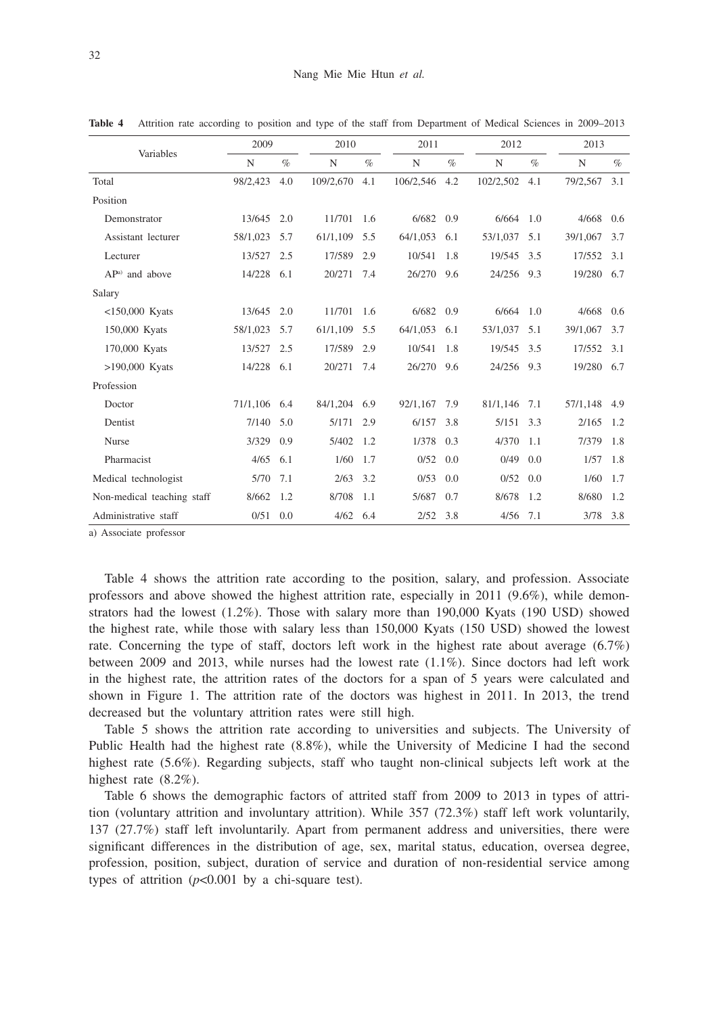|                            | 2009     |      | 2010       |      | 2011       |      | 2012      |      |          | 2013 |  |  |
|----------------------------|----------|------|------------|------|------------|------|-----------|------|----------|------|--|--|
| Variables                  | N        | $\%$ | N          | $\%$ | N          | $\%$ | N         | $\%$ | N        | $\%$ |  |  |
| Total                      | 98/2,423 | 4.0  | 109/2,670  | 4.1  | 106/2,546  | 4.2  | 102/2,502 | 4.1  | 79/2,567 | 3.1  |  |  |
| Position                   |          |      |            |      |            |      |           |      |          |      |  |  |
| Demonstrator               | 13/645   | 2.0  | 11/701     | 1.6  | 6/682      | 0.9  | 6/664     | 1.0  | 4/668    | 0.6  |  |  |
| Assistant lecturer         | 58/1,023 | 5.7  | 61/1,109   | 5.5  | 64/1,053   | 6.1  | 53/1,037  | 5.1  | 39/1,067 | 3.7  |  |  |
| Lecturer                   | 13/527   | 2.5  | 17/589     | 2.9  | 10/541     | 1.8  | 19/545    | 3.5  | 17/552   | 3.1  |  |  |
| AP <sup>a)</sup> and above | 14/228   | 6.1  | 20/271     | 7.4  | 26/270     | 9.6  | 24/256    | 9.3  | 19/280   | 6.7  |  |  |
| Salary                     |          |      |            |      |            |      |           |      |          |      |  |  |
| $<$ 150,000 Kyats          | 13/645   | 2.0  | 11/701     | 1.6  | 6/682      | 0.9  | 6/664     | 1.0  | 4/668    | 0.6  |  |  |
| 150,000 Kyats              | 58/1,023 | 5.7  | 61/1,109   | 5.5  | 64/1,053   | 6.1  | 53/1,037  | 5.1  | 39/1,067 | 3.7  |  |  |
| 170,000 Kyats              | 13/527   | 2.5  | 17/589     | 2.9  | 10/541     | 1.8  | 19/545    | 3.5  | 17/552   | 3.1  |  |  |
| >190,000 Kyats             | 14/228   | 6.1  | 20/271     | 7.4  | 26/270     | 9.6  | 24/256    | 9.3  | 19/280   | 6.7  |  |  |
| Profession                 |          |      |            |      |            |      |           |      |          |      |  |  |
| Doctor                     | 71/1,106 | 6.4  | 84/1,204   | 6.9  | 92/1,167   | 7.9  | 81/1,146  | 7.1  | 57/1,148 | 4.9  |  |  |
| Dentist                    | 7/140    | 5.0  | 5/171      | 2.9  | 6/157      | 3.8  | 5/151     | 3.3  | 2/165    | 1.2  |  |  |
| <b>Nurse</b>               | 3/329    | 0.9  | 5/402      | 1.2  | 1/378      | 0.3  | 4/370     | 1.1  | 7/379    | 1.8  |  |  |
| Pharmacist                 | 4/65     | 6.1  | 1/60       | 1.7  | 0/52       | 0.0  | 0/49      | 0.0  | 1/57     | 1.8  |  |  |
| Medical technologist       | 5/70     | 7.1  | 2/63       | 3.2  | 0/53       | 0.0  | 0/52      | 0.0  | 1/60     | 1.7  |  |  |
| Non-medical teaching staff | 8/662    | 1.2  | 8/708      | 1.1  | 5/687      | 0.7  | 8/678     | 1.2  | 8/680    | 1.2  |  |  |
| Administrative staff       | 0/51     | 0.0  | $4/62$ 6.4 |      | $2/52$ 3.8 |      | 4/56      | 7.1  | 3/78     | 3.8  |  |  |

**Table 4** Attrition rate according to position and type of the staff from Department of Medical Sciences in 2009–2013

a) Associate professor

Table 4 shows the attrition rate according to the position, salary, and profession. Associate professors and above showed the highest attrition rate, especially in 2011 (9.6%), while demonstrators had the lowest (1.2%). Those with salary more than 190,000 Kyats (190 USD) showed the highest rate, while those with salary less than 150,000 Kyats (150 USD) showed the lowest rate. Concerning the type of staff, doctors left work in the highest rate about average (6.7%) between 2009 and 2013, while nurses had the lowest rate (1.1%). Since doctors had left work in the highest rate, the attrition rates of the doctors for a span of 5 years were calculated and shown in Figure 1. The attrition rate of the doctors was highest in 2011. In 2013, the trend decreased but the voluntary attrition rates were still high.

Table 5 shows the attrition rate according to universities and subjects. The University of Public Health had the highest rate (8.8%), while the University of Medicine I had the second highest rate (5.6%). Regarding subjects, staff who taught non-clinical subjects left work at the highest rate (8.2%).

Table 6 shows the demographic factors of attrited staff from 2009 to 2013 in types of attrition (voluntary attrition and involuntary attrition). While 357 (72.3%) staff left work voluntarily, 137 (27.7%) staff left involuntarily. Apart from permanent address and universities, there were significant differences in the distribution of age, sex, marital status, education, oversea degree, profession, position, subject, duration of service and duration of non-residential service among types of attrition  $(p<0.001$  by a chi-square test).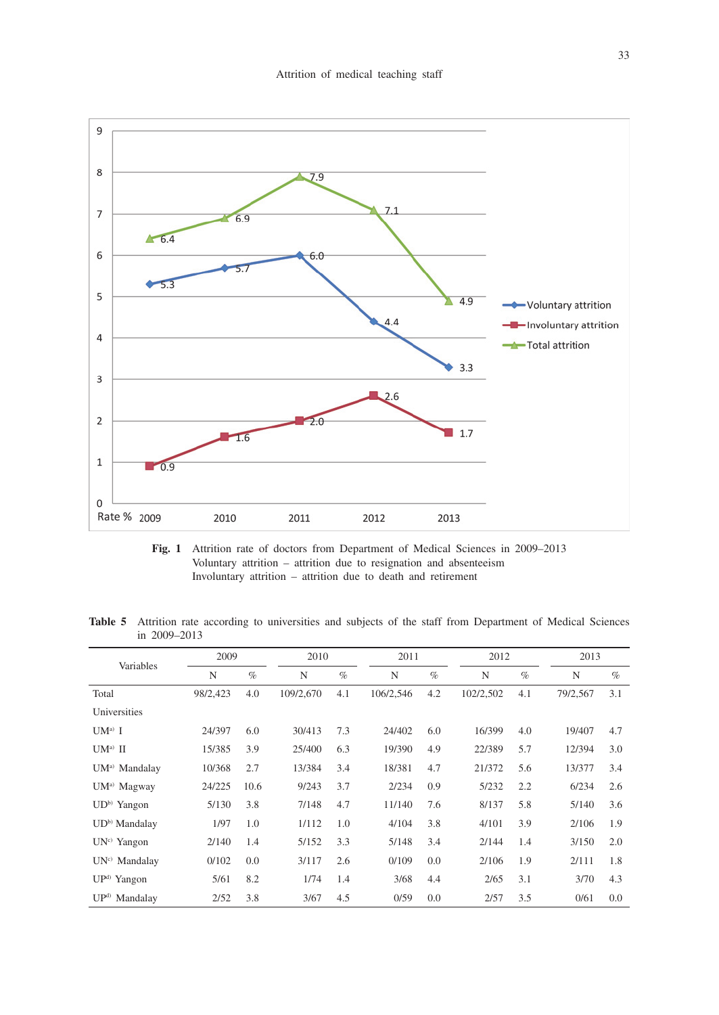

**Fig. 1** Attrition rate of doctors from Department of Medical Sciences in 2009–2013 Voluntary attrition – attrition due to resignation and absenteeism Involuntary attrition – attrition due to death and retirement

Table 5 Attrition rate according to universities and subjects of the staff from Department of Medical Sciences in 2009–2013

|                           | 2009     |      | 2010      |      | 2011      |      | 2012      |      | 2013     |      |
|---------------------------|----------|------|-----------|------|-----------|------|-----------|------|----------|------|
| Variables                 | N        | $\%$ | N         | $\%$ | N         | $\%$ | N         | $\%$ | N        | $\%$ |
| Total                     | 98/2,423 | 4.0  | 109/2.670 | 4.1  | 106/2,546 | 4.2  | 102/2,502 | 4.1  | 79/2,567 | 3.1  |
| Universities              |          |      |           |      |           |      |           |      |          |      |
| $UM^a$ I                  | 24/397   | 6.0  | 30/413    | 7.3  | 24/402    | 6.0  | 16/399    | 4.0  | 19/407   | 4.7  |
| $UM^a$ II                 | 15/385   | 3.9  | 25/400    | 6.3  | 19/390    | 4.9  | 22/389    | 5.7  | 12/394   | 3.0  |
| UM <sup>a)</sup> Mandalay | 10/368   | 2.7  | 13/384    | 3.4  | 18/381    | 4.7  | 21/372    | 5.6  | 13/377   | 3.4  |
| UM <sup>a)</sup> Magway   | 24/225   | 10.6 | 9/243     | 3.7  | 2/234     | 0.9  | 5/232     | 2.2  | 6/234    | 2.6  |
| UD <sup>b)</sup> Yangon   | 5/130    | 3.8  | 7/148     | 4.7  | 11/140    | 7.6  | 8/137     | 5.8  | 5/140    | 3.6  |
| UD <sup>b)</sup> Mandalay | 1/97     | 1.0  | 1/112     | 1.0  | 4/104     | 3.8  | 4/101     | 3.9  | 2/106    | 1.9  |
| UN <sup>c)</sup> Yangon   | 2/140    | 1.4  | 5/152     | 3.3  | 5/148     | 3.4  | 2/144     | 1.4  | 3/150    | 2.0  |
| UN <sup>c)</sup> Mandalay | 0/102    | 0.0  | 3/117     | 2.6  | 0/109     | 0.0  | 2/106     | 1.9  | 2/111    | 1.8  |
| $UPd$ Yangon              | 5/61     | 8.2  | 1/74      | 1.4  | 3/68      | 4.4  | 2/65      | 3.1  | 3/70     | 4.3  |
| UP <sup>d)</sup> Mandalay | 2/52     | 3.8  | 3/67      | 4.5  | 0/59      | 0.0  | 2/57      | 3.5  | 0/61     | 0.0  |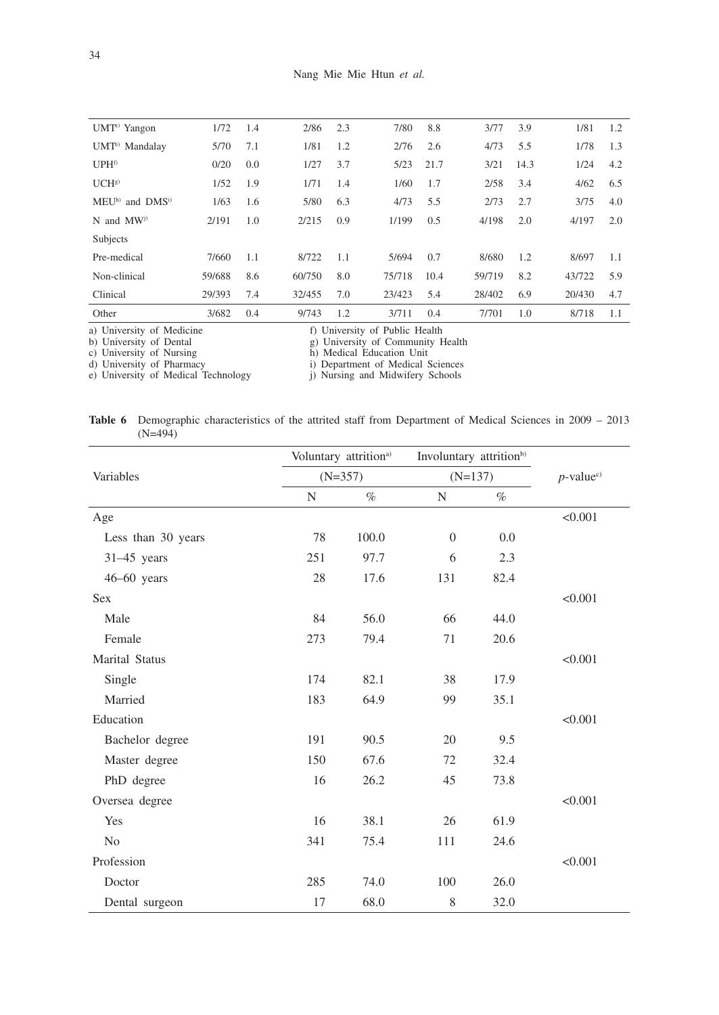| UMT <sup>e</sup> ) Yangon  | 1/72   | 1.4 | 2/86   | 2.3 | 7/80   | 8.8  | 3/77   | 3.9  | 1/81   | 1.2 |
|----------------------------|--------|-----|--------|-----|--------|------|--------|------|--------|-----|
| UMT <sup>e)</sup> Mandalay | 5/70   | 7.1 | 1/81   | 1.2 | 2/76   | 2.6  | 4/73   | 5.5  | 1/78   | 1.3 |
| UPH <sup>f)</sup>          | 0/20   | 0.0 | 1/27   | 3.7 | 5/23   | 21.7 | 3/21   | 14.3 | 1/24   | 4.2 |
| UCH <sup>g</sup>           | 1/52   | 1.9 | 1/71   | 1.4 | 1/60   | 1.7  | 2/58   | 3.4  | 4/62   | 6.5 |
| MEUh) and DMSi)            | 1/63   | 1.6 | 5/80   | 6.3 | 4/73   | 5.5  | 2/73   | 2.7  | 3/75   | 4.0 |
| $N$ and $MW^{j}$           | 2/191  | 1.0 | 2/215  | 0.9 | 1/199  | 0.5  | 4/198  | 2.0  | 4/197  | 2.0 |
| Subjects                   |        |     |        |     |        |      |        |      |        |     |
| Pre-medical                | 7/660  | 1.1 | 8/722  | 1.1 | 5/694  | 0.7  | 8/680  | 1.2  | 8/697  | 1.1 |
| Non-clinical               | 59/688 | 8.6 | 60/750 | 8.0 | 75/718 | 10.4 | 59/719 | 8.2  | 43/722 | 5.9 |
| Clinical                   | 29/393 | 7.4 | 32/455 | 7.0 | 23/423 | 5.4  | 28/402 | 6.9  | 20/430 | 4.7 |
| Other                      | 3/682  | 0.4 | 9/743  | 1.2 | 3/711  | 0.4  | 7/701  | 1.0  | 8/718  | 1.1 |
| .<br>.                     |        |     |        |     |        |      |        |      |        |     |

a) University of Medicine f) University of Public Health

b) University of Dental g) University of Community Health

c) University of Nursing h) Medical Education Unit

d) University of Pharmacy i) Department of Medical Sciences

e) University of Medical Technology (i) Nursing and Midwifery Schools

|           | <b>Table 6</b> Demographic characteristics of the attrited staff from Department of Medical Sciences in 2009 – 2013 |  |  |  |  |  |
|-----------|---------------------------------------------------------------------------------------------------------------------|--|--|--|--|--|
| $(N=494)$ |                                                                                                                     |  |  |  |  |  |

|                    |     | Voluntary attrition <sup>a)</sup> | Involuntary attrition <sup>b)</sup> |      |                          |
|--------------------|-----|-----------------------------------|-------------------------------------|------|--------------------------|
| Variables          |     | $(N=357)$                         | $(N=137)$                           |      | $p$ -value <sup>c)</sup> |
|                    | N   | $\%$                              | N                                   | $\%$ |                          |
| Age                |     |                                   |                                     |      | < 0.001                  |
| Less than 30 years | 78  | 100.0                             | $\theta$                            | 0.0  |                          |
| $31-45$ years      | 251 | 97.7                              | 6                                   | 2.3  |                          |
| $46-60$ years      | 28  | 17.6                              | 131                                 | 82.4 |                          |
| <b>Sex</b>         |     |                                   |                                     |      | < 0.001                  |
| Male               | 84  | 56.0                              | 66                                  | 44.0 |                          |
| Female             | 273 | 79.4                              | 71                                  | 20.6 |                          |
| Marital Status     |     |                                   |                                     |      | < 0.001                  |
| Single             | 174 | 82.1                              | 38                                  | 17.9 |                          |
| Married            | 183 | 64.9                              | 99                                  | 35.1 |                          |
| Education          |     |                                   |                                     |      | < 0.001                  |
| Bachelor degree    | 191 | 90.5                              | 20                                  | 9.5  |                          |
| Master degree      | 150 | 67.6                              | 72                                  | 32.4 |                          |
| PhD degree         | 16  | 26.2                              | 45                                  | 73.8 |                          |
| Oversea degree     |     |                                   |                                     |      | < 0.001                  |
| Yes                | 16  | 38.1                              | 26                                  | 61.9 |                          |
| N <sub>0</sub>     | 341 | 75.4                              | 111                                 | 24.6 |                          |
| Profession         |     |                                   |                                     |      | < 0.001                  |
| Doctor             | 285 | 74.0                              | 100                                 | 26.0 |                          |
| Dental surgeon     | 17  | 68.0                              | $\,$ 8 $\,$                         | 32.0 |                          |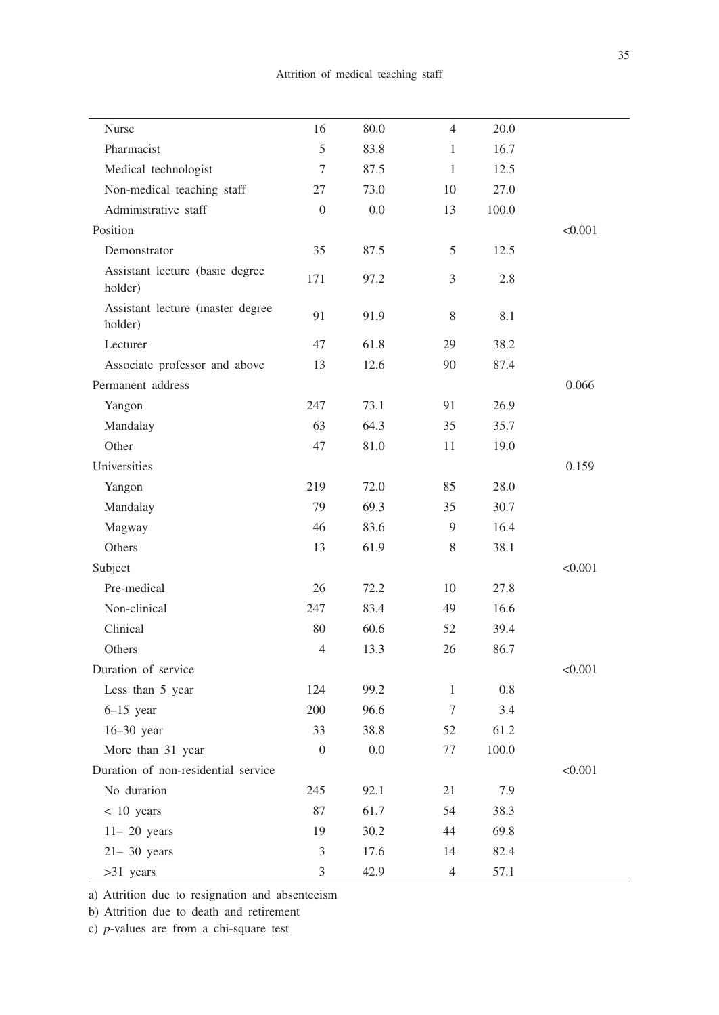| Nurse                                       | 16               | 80.0 | $\overline{4}$ | 20.0  |         |
|---------------------------------------------|------------------|------|----------------|-------|---------|
| Pharmacist                                  | $\mathfrak s$    | 83.8 | 1              | 16.7  |         |
| Medical technologist                        | $\tau$           | 87.5 | $\mathbf{1}$   | 12.5  |         |
| Non-medical teaching staff                  | 27               | 73.0 | 10             | 27.0  |         |
| Administrative staff                        | $\boldsymbol{0}$ | 0.0  | 13             | 100.0 |         |
| Position                                    |                  |      |                |       | < 0.001 |
| Demonstrator                                | 35               | 87.5 | 5              | 12.5  |         |
| Assistant lecture (basic degree<br>holder)  | 171              | 97.2 | 3              | 2.8   |         |
| Assistant lecture (master degree<br>holder) | 91               | 91.9 | $8\,$          | 8.1   |         |
| Lecturer                                    | 47               | 61.8 | 29             | 38.2  |         |
| Associate professor and above               | 13               | 12.6 | 90             | 87.4  |         |
| Permanent address                           |                  |      |                |       | 0.066   |
| Yangon                                      | 247              | 73.1 | 91             | 26.9  |         |
| Mandalay                                    | 63               | 64.3 | 35             | 35.7  |         |
| Other                                       | 47               | 81.0 | 11             | 19.0  |         |
| Universities                                |                  |      |                |       | 0.159   |
| Yangon                                      | 219              | 72.0 | 85             | 28.0  |         |
| Mandalay                                    | 79               | 69.3 | 35             | 30.7  |         |
| Magway                                      | 46               | 83.6 | 9              | 16.4  |         |
| Others                                      | 13               | 61.9 | 8              | 38.1  |         |
| Subject                                     |                  |      |                |       | < 0.001 |
| Pre-medical                                 | 26               | 72.2 | 10             | 27.8  |         |
| Non-clinical                                | 247              | 83.4 | 49             | 16.6  |         |
| Clinical                                    | 80               | 60.6 | 52             | 39.4  |         |
| Others                                      | $\overline{4}$   | 13.3 | 26             | 86.7  |         |
| Duration of service                         |                  |      |                |       | < 0.001 |
| Less than 5 year                            | 124              | 99.2 | $\mathbf{1}$   | 0.8   |         |
| $6-15$ year                                 | 200              | 96.6 | 7              | 3.4   |         |
| 16-30 year                                  | 33               | 38.8 | 52             | 61.2  |         |
| More than 31 year                           | $\mathbf{0}$     | 0.0  | 77             | 100.0 |         |
| Duration of non-residential service         |                  |      |                |       | < 0.001 |
| No duration                                 | 245              | 92.1 | 21             | 7.9   |         |
| $< 10$ years                                | 87               | 61.7 | 54             | 38.3  |         |
| $11-20$ years                               | 19               | 30.2 | 44             | 69.8  |         |
| $21 - 30$ years                             | 3                | 17.6 | 14             | 82.4  |         |
| $>31$ years                                 | 3                | 42.9 | $\overline{4}$ | 57.1  |         |

a) Attrition due to resignation and absenteeism

b) Attrition due to death and retirement

c) *p*-values are from a chi-square test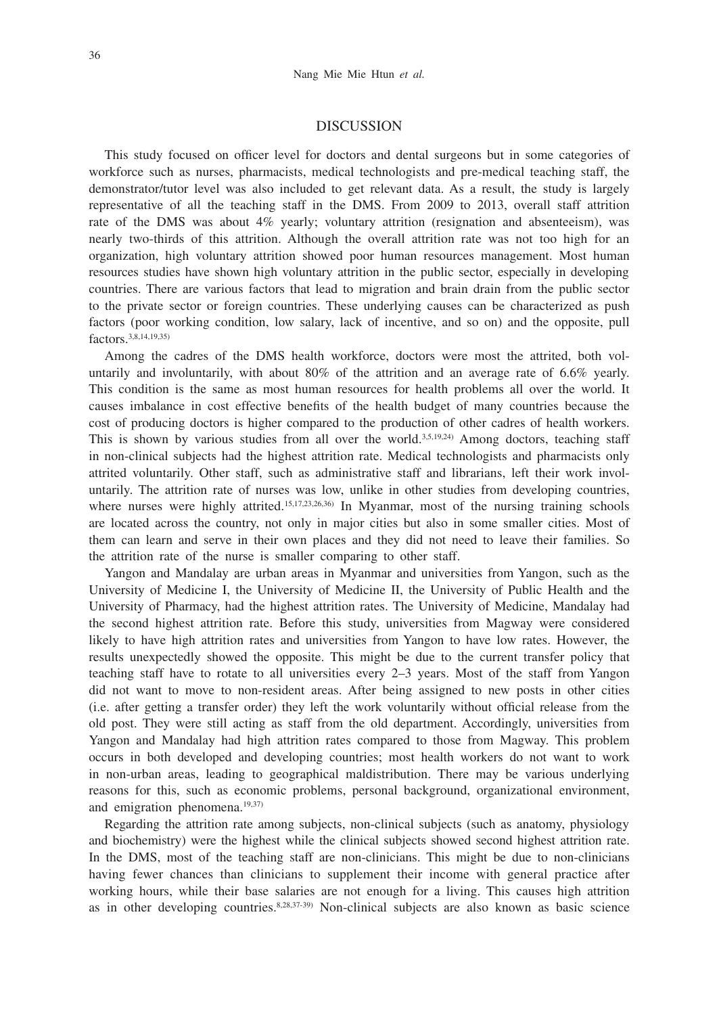#### DISCUSSION

This study focused on officer level for doctors and dental surgeons but in some categories of workforce such as nurses, pharmacists, medical technologists and pre-medical teaching staff, the demonstrator/tutor level was also included to get relevant data. As a result, the study is largely representative of all the teaching staff in the DMS. From 2009 to 2013, overall staff attrition rate of the DMS was about 4% yearly; voluntary attrition (resignation and absenteeism), was nearly two-thirds of this attrition. Although the overall attrition rate was not too high for an organization, high voluntary attrition showed poor human resources management. Most human resources studies have shown high voluntary attrition in the public sector, especially in developing countries. There are various factors that lead to migration and brain drain from the public sector to the private sector or foreign countries. These underlying causes can be characterized as push factors (poor working condition, low salary, lack of incentive, and so on) and the opposite, pull factors.3,8,14,19,35)

Among the cadres of the DMS health workforce, doctors were most the attrited, both voluntarily and involuntarily, with about 80% of the attrition and an average rate of 6.6% yearly. This condition is the same as most human resources for health problems all over the world. It causes imbalance in cost effective benefits of the health budget of many countries because the cost of producing doctors is higher compared to the production of other cadres of health workers. This is shown by various studies from all over the world.<sup>3,5,19,24</sup>) Among doctors, teaching staff in non-clinical subjects had the highest attrition rate. Medical technologists and pharmacists only attrited voluntarily. Other staff, such as administrative staff and librarians, left their work involuntarily. The attrition rate of nurses was low, unlike in other studies from developing countries, where nurses were highly attrited.<sup>15,17,23,26,36</sup> In Myanmar, most of the nursing training schools are located across the country, not only in major cities but also in some smaller cities. Most of them can learn and serve in their own places and they did not need to leave their families. So the attrition rate of the nurse is smaller comparing to other staff.

Yangon and Mandalay are urban areas in Myanmar and universities from Yangon, such as the University of Medicine I, the University of Medicine II, the University of Public Health and the University of Pharmacy, had the highest attrition rates. The University of Medicine, Mandalay had the second highest attrition rate. Before this study, universities from Magway were considered likely to have high attrition rates and universities from Yangon to have low rates. However, the results unexpectedly showed the opposite. This might be due to the current transfer policy that teaching staff have to rotate to all universities every 2–3 years. Most of the staff from Yangon did not want to move to non-resident areas. After being assigned to new posts in other cities (i.e. after getting a transfer order) they left the work voluntarily without official release from the old post. They were still acting as staff from the old department. Accordingly, universities from Yangon and Mandalay had high attrition rates compared to those from Magway. This problem occurs in both developed and developing countries; most health workers do not want to work in non-urban areas, leading to geographical maldistribution. There may be various underlying reasons for this, such as economic problems, personal background, organizational environment, and emigration phenomena.<sup>19,37)</sup>

Regarding the attrition rate among subjects, non-clinical subjects (such as anatomy, physiology and biochemistry) were the highest while the clinical subjects showed second highest attrition rate. In the DMS, most of the teaching staff are non-clinicians. This might be due to non-clinicians having fewer chances than clinicians to supplement their income with general practice after working hours, while their base salaries are not enough for a living. This causes high attrition as in other developing countries.8,28,37-39) Non-clinical subjects are also known as basic science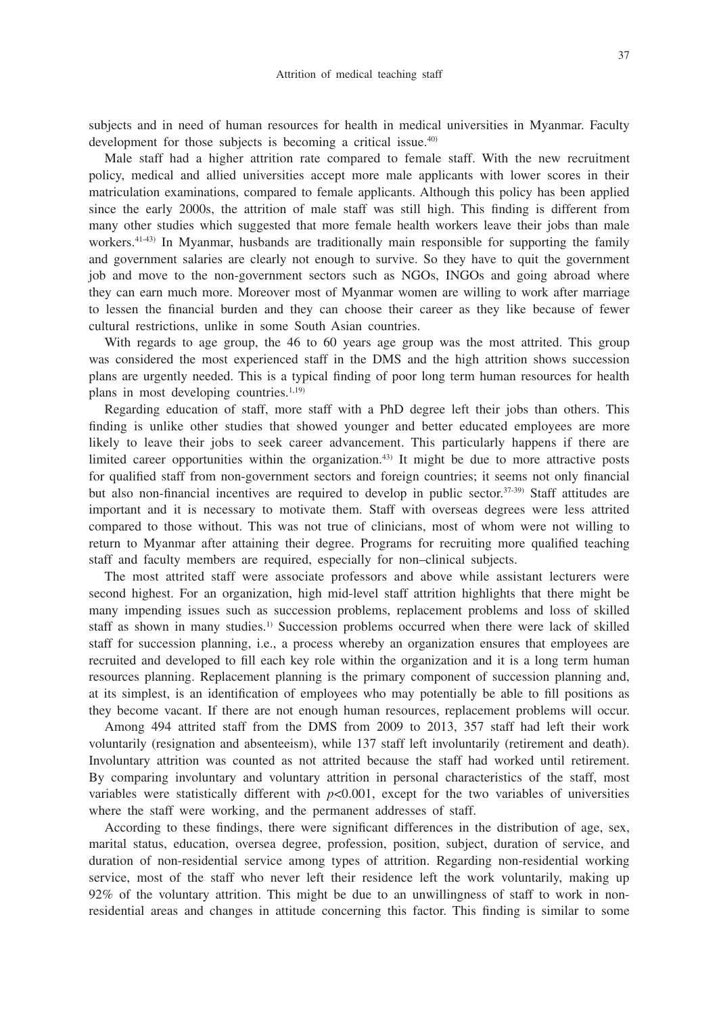subjects and in need of human resources for health in medical universities in Myanmar. Faculty development for those subjects is becoming a critical issue.<sup>40)</sup>

Male staff had a higher attrition rate compared to female staff. With the new recruitment policy, medical and allied universities accept more male applicants with lower scores in their matriculation examinations, compared to female applicants. Although this policy has been applied since the early 2000s, the attrition of male staff was still high. This finding is different from many other studies which suggested that more female health workers leave their jobs than male workers.<sup>41-43)</sup> In Myanmar, husbands are traditionally main responsible for supporting the family and government salaries are clearly not enough to survive. So they have to quit the government job and move to the non-government sectors such as NGOs, INGOs and going abroad where they can earn much more. Moreover most of Myanmar women are willing to work after marriage to lessen the financial burden and they can choose their career as they like because of fewer cultural restrictions, unlike in some South Asian countries.

With regards to age group, the 46 to 60 years age group was the most attrited. This group was considered the most experienced staff in the DMS and the high attrition shows succession plans are urgently needed. This is a typical finding of poor long term human resources for health plans in most developing countries.<sup>1,19)</sup>

Regarding education of staff, more staff with a PhD degree left their jobs than others. This finding is unlike other studies that showed younger and better educated employees are more likely to leave their jobs to seek career advancement. This particularly happens if there are limited career opportunities within the organization.<sup>43)</sup> It might be due to more attractive posts for qualified staff from non-government sectors and foreign countries; it seems not only financial but also non-financial incentives are required to develop in public sector.37-39) Staff attitudes are important and it is necessary to motivate them. Staff with overseas degrees were less attrited compared to those without. This was not true of clinicians, most of whom were not willing to return to Myanmar after attaining their degree. Programs for recruiting more qualified teaching staff and faculty members are required, especially for non–clinical subjects.

The most attrited staff were associate professors and above while assistant lecturers were second highest. For an organization, high mid-level staff attrition highlights that there might be many impending issues such as succession problems, replacement problems and loss of skilled staff as shown in many studies.<sup>1)</sup> Succession problems occurred when there were lack of skilled staff for succession planning, i.e., a process whereby an organization ensures that employees are recruited and developed to fill each key role within the organization and it is a long term human resources planning. Replacement planning is the primary component of succession planning and, at its simplest, is an identification of employees who may potentially be able to fill positions as they become vacant. If there are not enough human resources, replacement problems will occur.

Among 494 attrited staff from the DMS from 2009 to 2013, 357 staff had left their work voluntarily (resignation and absenteeism), while 137 staff left involuntarily (retirement and death). Involuntary attrition was counted as not attrited because the staff had worked until retirement. By comparing involuntary and voluntary attrition in personal characteristics of the staff, most variables were statistically different with  $p<0.001$ , except for the two variables of universities where the staff were working, and the permanent addresses of staff.

According to these findings, there were significant differences in the distribution of age, sex, marital status, education, oversea degree, profession, position, subject, duration of service, and duration of non-residential service among types of attrition. Regarding non-residential working service, most of the staff who never left their residence left the work voluntarily, making up 92% of the voluntary attrition. This might be due to an unwillingness of staff to work in nonresidential areas and changes in attitude concerning this factor. This finding is similar to some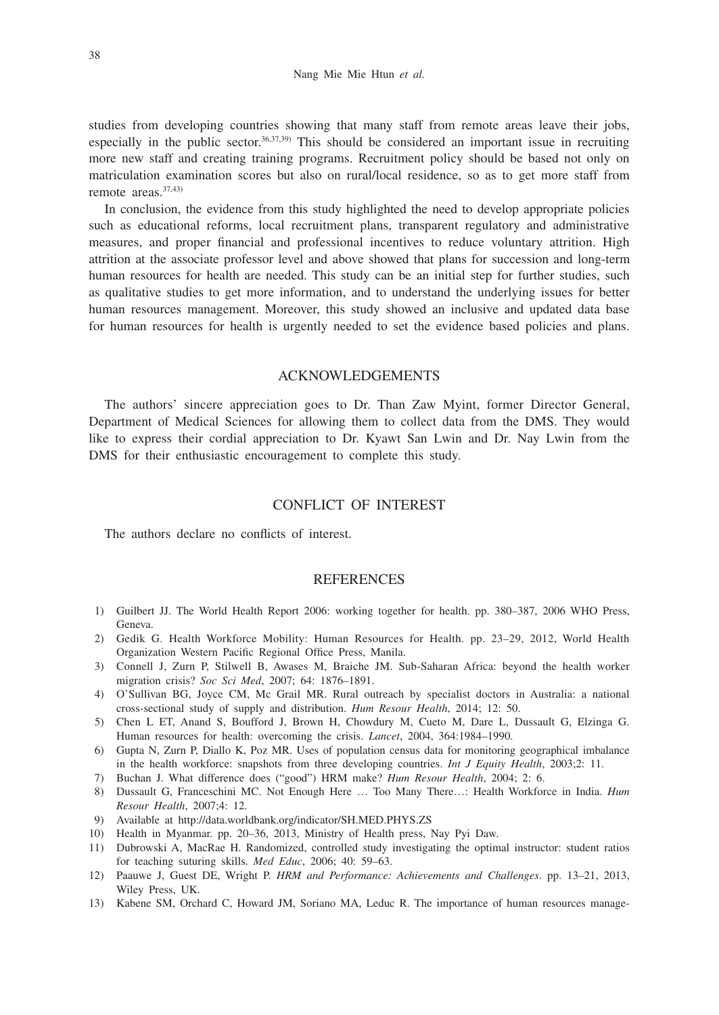studies from developing countries showing that many staff from remote areas leave their jobs, especially in the public sector.<sup>36,37,39)</sup> This should be considered an important issue in recruiting more new staff and creating training programs. Recruitment policy should be based not only on matriculation examination scores but also on rural/local residence, so as to get more staff from remote areas.37,43)

In conclusion, the evidence from this study highlighted the need to develop appropriate policies such as educational reforms, local recruitment plans, transparent regulatory and administrative measures, and proper financial and professional incentives to reduce voluntary attrition. High attrition at the associate professor level and above showed that plans for succession and long-term human resources for health are needed. This study can be an initial step for further studies, such as qualitative studies to get more information, and to understand the underlying issues for better human resources management. Moreover, this study showed an inclusive and updated data base for human resources for health is urgently needed to set the evidence based policies and plans.

### ACKNOWLEDGEMENTS

The authors' sincere appreciation goes to Dr. Than Zaw Myint, former Director General, Department of Medical Sciences for allowing them to collect data from the DMS. They would like to express their cordial appreciation to Dr. Kyawt San Lwin and Dr. Nay Lwin from the DMS for their enthusiastic encouragement to complete this study.

## CONFLICT OF INTEREST

The authors declare no conflicts of interest.

#### **REFERENCES**

- 1) Guilbert JJ. The World Health Report 2006: working together for health. pp. 380–387, 2006 WHO Press, Geneva.
- 2) Gedik G. Health Workforce Mobility: Human Resources for Health. pp. 23–29, 2012, World Health Organization Western Pacific Regional Office Press, Manila.
- 3) Connell J, Zurn P, Stilwell B, Awases M, Braiche JM. Sub-Saharan Africa: beyond the health worker migration crisis? *Soc Sci Med*, 2007; 64: 1876–1891.
- 4) O'Sullivan BG, Joyce CM, Mc Grail MR. Rural outreach by specialist doctors in Australia: a national cross-sectional study of supply and distribution. *Hum Resour Health*, 2014; 12: 50.
- 5) Chen L ET, Anand S, Boufford J, Brown H, Chowdury M, Cueto M, Dare L, Dussault G, Elzinga G. Human resources for health: overcoming the crisis. *Lancet*, 2004, 364:1984–1990.
- 6) Gupta N, Zurn P, Diallo K, Poz MR. Uses of population census data for monitoring geographical imbalance in the health workforce: snapshots from three developing countries. *Int J Equity Health*, 2003;2: 11.
- 7) Buchan J. What difference does ("good") HRM make? *Hum Resour Health*, 2004; 2: 6.
- 8) Dussault G, Franceschini MC. Not Enough Here … Too Many There…: Health Workforce in India. *Hum Resour Health*, 2007;4: 12.
- 9) Available at http://data.worldbank.org/indicator/SH.MED.PHYS.ZS
- 10) Health in Myanmar. pp. 20–36, 2013, Ministry of Health press, Nay Pyi Daw.
- 11) Dubrowski A, MacRae H. Randomized, controlled study investigating the optimal instructor: student ratios for teaching suturing skills. *Med Educ*, 2006; 40: 59–63.
- 12) Paauwe J, Guest DE, Wright P. *HRM and Performance: Achievements and Challenges*. pp. 13–21, 2013, Wiley Press, UK.
- 13) Kabene SM, Orchard C, Howard JM, Soriano MA, Leduc R. The importance of human resources manage-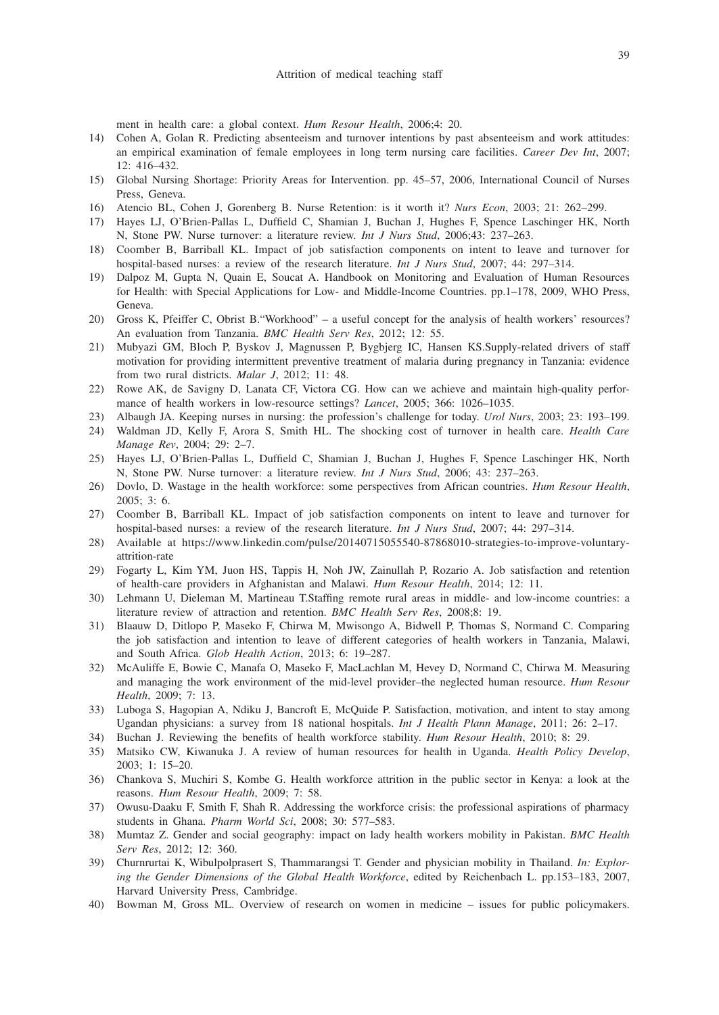ment in health care: a global context. *Hum Resour Health*, 2006;4: 20.

- 14) Cohen A, Golan R. Predicting absenteeism and turnover intentions by past absenteeism and work attitudes: an empirical examination of female employees in long term nursing care facilities. *Career Dev Int*, 2007; 12: 416–432.
- 15) Global Nursing Shortage: Priority Areas for Intervention. pp. 45–57, 2006, International Council of Nurses Press, Geneva.
- 16) Atencio BL, Cohen J, Gorenberg B. Nurse Retention: is it worth it? *Nurs Econ*, 2003; 21: 262–299.
- 17) Hayes LJ, O'Brien-Pallas L, Duffield C, Shamian J, Buchan J, Hughes F, Spence Laschinger HK, North N, Stone PW. Nurse turnover: a literature review. *Int J Nurs Stud*, 2006;43: 237–263.
- 18) Coomber B, Barriball KL. Impact of job satisfaction components on intent to leave and turnover for hospital-based nurses: a review of the research literature. *Int J Nurs Stud*, 2007; 44: 297–314.
- 19) Dalpoz M, Gupta N, Quain E, Soucat A. Handbook on Monitoring and Evaluation of Human Resources for Health: with Special Applications for Low- and Middle-Income Countries. pp.1–178, 2009, WHO Press, Geneva.
- 20) Gross K, Pfeiffer C, Obrist B."Workhood" a useful concept for the analysis of health workers' resources? An evaluation from Tanzania. *BMC Health Serv Res*, 2012; 12: 55.
- 21) Mubyazi GM, Bloch P, Byskov J, Magnussen P, Bygbjerg IC, Hansen KS.Supply-related drivers of staff motivation for providing intermittent preventive treatment of malaria during pregnancy in Tanzania: evidence from two rural districts. *Malar J*, 2012; 11: 48.
- 22) Rowe AK, de Savigny D, Lanata CF, Victora CG. How can we achieve and maintain high-quality performance of health workers in low-resource settings? *Lancet*, 2005; 366: 1026–1035.
- 23) Albaugh JA. Keeping nurses in nursing: the profession's challenge for today. *Urol Nurs*, 2003; 23: 193–199. 24) Waldman JD, Kelly F, Arora S, Smith HL. The shocking cost of turnover in health care. *Health Care Manage Rev*, 2004; 29: 2–7.
- 25) Hayes LJ, O'Brien-Pallas L, Duffield C, Shamian J, Buchan J, Hughes F, Spence Laschinger HK, North N, Stone PW. Nurse turnover: a literature review. *Int J Nurs Stud*, 2006; 43: 237–263.
- 26) Dovlo, D. Wastage in the health workforce: some perspectives from African countries. *Hum Resour Health*, 2005; 3: 6.
- 27) Coomber B, Barriball KL. Impact of job satisfaction components on intent to leave and turnover for hospital-based nurses: a review of the research literature. *Int J Nurs Stud*, 2007; 44: 297–314.
- 28) Available at https://www.linkedin.com/pulse/20140715055540-87868010-strategies-to-improve-voluntaryattrition-rate
- 29) Fogarty L, Kim YM, Juon HS, Tappis H, Noh JW, Zainullah P, Rozario A. Job satisfaction and retention of health-care providers in Afghanistan and Malawi. *Hum Resour Health*, 2014; 12: 11.
- 30) Lehmann U, Dieleman M, Martineau T.Staffing remote rural areas in middle- and low-income countries: a literature review of attraction and retention. *BMC Health Serv Res*, 2008;8: 19.
- 31) Blaauw D, Ditlopo P, Maseko F, Chirwa M, Mwisongo A, Bidwell P, Thomas S, Normand C. Comparing the job satisfaction and intention to leave of different categories of health workers in Tanzania, Malawi, and South Africa. *Glob Health Action*, 2013; 6: 19–287.
- 32) McAuliffe E, Bowie C, Manafa O, Maseko F, MacLachlan M, Hevey D, Normand C, Chirwa M. Measuring and managing the work environment of the mid-level provider–the neglected human resource. *Hum Resour Health*, 2009; 7: 13.
- 33) Luboga S, Hagopian A, Ndiku J, Bancroft E, McQuide P. Satisfaction, motivation, and intent to stay among Ugandan physicians: a survey from 18 national hospitals. *Int J Health Plann Manage*, 2011; 26: 2–17.
- 34) Buchan J. Reviewing the benefits of health workforce stability. *Hum Resour Health*, 2010; 8: 29.
- 35) Matsiko CW, Kiwanuka J. A review of human resources for health in Uganda. *Health Policy Develop*, 2003; 1: 15–20.
- 36) Chankova S, Muchiri S, Kombe G. Health workforce attrition in the public sector in Kenya: a look at the reasons. *Hum Resour Health*, 2009; 7: 58.
- 37) Owusu-Daaku F, Smith F, Shah R. Addressing the workforce crisis: the professional aspirations of pharmacy students in Ghana. *Pharm World Sci*, 2008; 30: 577–583.
- 38) Mumtaz Z. Gender and social geography: impact on lady health workers mobility in Pakistan. *BMC Health Serv Res*, 2012; 12: 360.
- 39) Churnrurtai K, Wibulpolprasert S, Thammarangsi T. Gender and physician mobility in Thailand. *In: Exploring the Gender Dimensions of the Global Health Workforce*, edited by Reichenbach L. pp.153–183, 2007, Harvard University Press, Cambridge.
- 40) Bowman M, Gross ML. Overview of research on women in medicine issues for public policymakers.